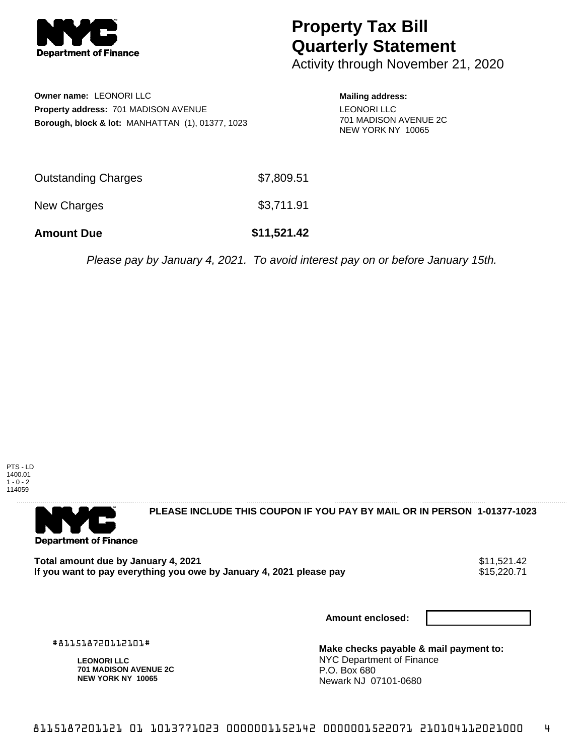

## **Property Tax Bill Quarterly Statement**

Activity through November 21, 2020

**Owner name:** LEONORI LLC **Property address:** 701 MADISON AVENUE **Borough, block & lot:** MANHATTAN (1), 01377, 1023 **Mailing address:**

LEONORI LLC 701 MADISON AVENUE 2C NEW YORK NY 10065

| <b>Amount Due</b>          | \$11,521.42 |
|----------------------------|-------------|
| New Charges                | \$3,711.91  |
| <b>Outstanding Charges</b> | \$7,809.51  |

Please pay by January 4, 2021. To avoid interest pay on or before January 15th.





**PLEASE INCLUDE THIS COUPON IF YOU PAY BY MAIL OR IN PERSON 1-01377-1023** 

Total amount due by January 4, 2021<br>If you want to pay everything you owe by January 4, 2021 please pay **1986** \$15,220.71 If you want to pay everything you owe by January 4, 2021 please pay

**Amount enclosed:**

#811518720112101#

**LEONORI LLC 701 MADISON AVENUE 2C NEW YORK NY 10065**

**Make checks payable & mail payment to:** NYC Department of Finance P.O. Box 680 Newark NJ 07101-0680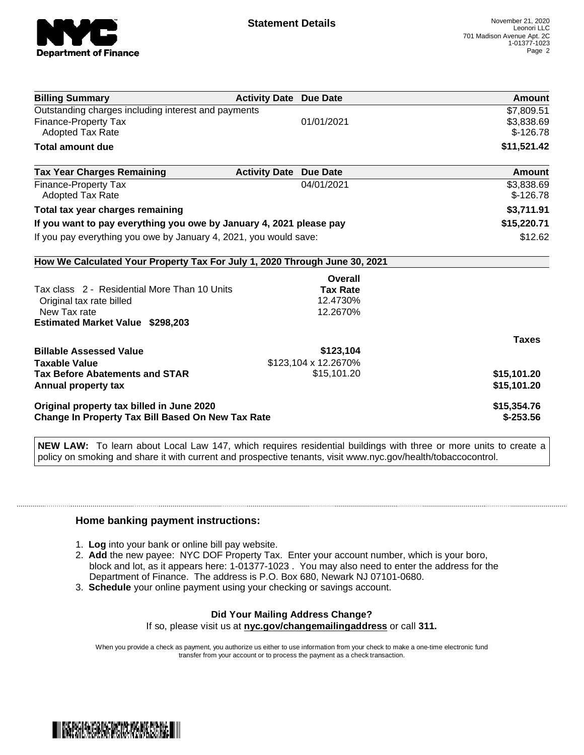

| <b>Billing Summary</b>                                                     | <b>Activity Date Due Date</b> | Amount       |
|----------------------------------------------------------------------------|-------------------------------|--------------|
| Outstanding charges including interest and payments                        |                               | \$7,809.51   |
| Finance-Property Tax                                                       | 01/01/2021                    | \$3,838.69   |
| <b>Adopted Tax Rate</b>                                                    |                               | $$-126.78$   |
| <b>Total amount due</b>                                                    |                               | \$11,521.42  |
| <b>Tax Year Charges Remaining</b>                                          | <b>Activity Date Due Date</b> | Amount       |
| <b>Finance-Property Tax</b>                                                | 04/01/2021                    | \$3,838.69   |
| <b>Adopted Tax Rate</b>                                                    |                               | $$-126.78$   |
| Total tax year charges remaining                                           |                               | \$3,711.91   |
| If you want to pay everything you owe by January 4, 2021 please pay        |                               | \$15,220.71  |
| If you pay everything you owe by January 4, 2021, you would save:          |                               | \$12.62      |
| How We Calculated Your Property Tax For July 1, 2020 Through June 30, 2021 |                               |              |
|                                                                            | Overall                       |              |
| Tax class 2 - Residential More Than 10 Units                               | <b>Tax Rate</b>               |              |
| Original tax rate billed                                                   | 12.4730%                      |              |
| New Tax rate                                                               | 12.2670%                      |              |
| <b>Estimated Market Value \$298,203</b>                                    |                               |              |
|                                                                            |                               | <b>Taxes</b> |
| <b>Billable Assessed Value</b>                                             | \$123,104                     |              |
| <b>Taxable Value</b>                                                       | \$123,104 x 12.2670%          |              |
| <b>Tax Before Abatements and STAR</b>                                      | \$15,101.20                   | \$15,101.20  |
| Annual property tax                                                        |                               | \$15,101.20  |
| Original property tax billed in June 2020                                  |                               | \$15,354.76  |
| <b>Change In Property Tax Bill Based On New Tax Rate</b>                   |                               | $$-253.56$   |

**NEW LAW:** To learn about Local Law 147, which requires residential buildings with three or more units to create a policy on smoking and share it with current and prospective tenants, visit www.nyc.gov/health/tobaccocontrol.

## **Home banking payment instructions:**

- 1. **Log** into your bank or online bill pay website.
- 2. **Add** the new payee: NYC DOF Property Tax. Enter your account number, which is your boro, block and lot, as it appears here: 1-01377-1023 . You may also need to enter the address for the Department of Finance. The address is P.O. Box 680, Newark NJ 07101-0680.
- 3. **Schedule** your online payment using your checking or savings account.

## **Did Your Mailing Address Change?** If so, please visit us at **nyc.gov/changemailingaddress** or call **311.**

When you provide a check as payment, you authorize us either to use information from your check to make a one-time electronic fund transfer from your account or to process the payment as a check transaction.